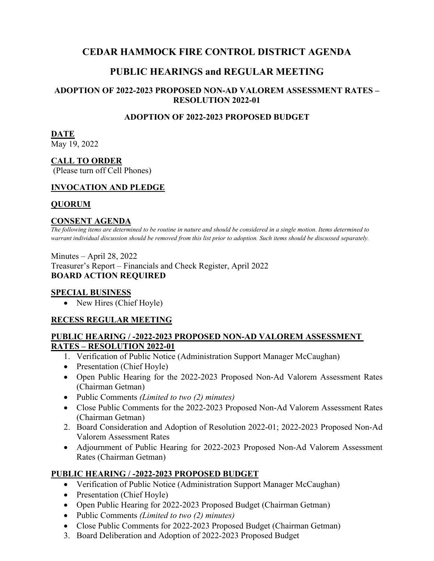## **CEDAR HAMMOCK FIRE CONTROL DISTRICT AGENDA**

# **PUBLIC HEARINGS and REGULAR MEETING**

## **ADOPTION OF 2022-2023 PROPOSED NON-AD VALOREM ASSESSMENT RATES – RESOLUTION 2022-01**

## **ADOPTION OF 2022-2023 PROPOSED BUDGET**

# **DATE**

May 19, 2022

## **CALL TO ORDER**

(Please turn off Cell Phones)

#### **INVOCATION AND PLEDGE**

## **QUORUM**

#### **CONSENT AGENDA**

*The following items are determined to be routine in nature and should be considered in a single motion. Items determined to warrant individual discussion should be removed from this list prior to adoption. Such items should be discussed separately.*

Minutes – April 28, 2022 Treasurer's Report – Financials and Check Register, April 2022 **BOARD ACTION REQUIRED**

#### **SPECIAL BUSINESS**

• New Hires (Chief Hoyle)

#### **RECESS REGULAR MEETING**

#### **PUBLIC HEARING / -2022-2023 PROPOSED NON-AD VALOREM ASSESSMENT RATES – RESOLUTION 2022-01**

- 1. Verification of Public Notice (Administration Support Manager McCaughan)
- Presentation (Chief Hoyle)
- Open Public Hearing for the 2022-2023 Proposed Non-Ad Valorem Assessment Rates (Chairman Getman)
- Public Comments *(Limited to two (2) minutes)*
- Close Public Comments for the 2022-2023 Proposed Non-Ad Valorem Assessment Rates (Chairman Getman)
- 2. Board Consideration and Adoption of Resolution 2022-01; 2022-2023 Proposed Non-Ad Valorem Assessment Rates
- Adjournment of Public Hearing for 2022-2023 Proposed Non-Ad Valorem Assessment Rates (Chairman Getman)

#### **PUBLIC HEARING / -2022-2023 PROPOSED BUDGET**

- Verification of Public Notice (Administration Support Manager McCaughan)
- Presentation (Chief Hoyle)
- Open Public Hearing for 2022-2023 Proposed Budget (Chairman Getman)
- Public Comments *(Limited to two (2) minutes)*
- Close Public Comments for 2022-2023 Proposed Budget (Chairman Getman)
- 3. Board Deliberation and Adoption of 2022-2023 Proposed Budget